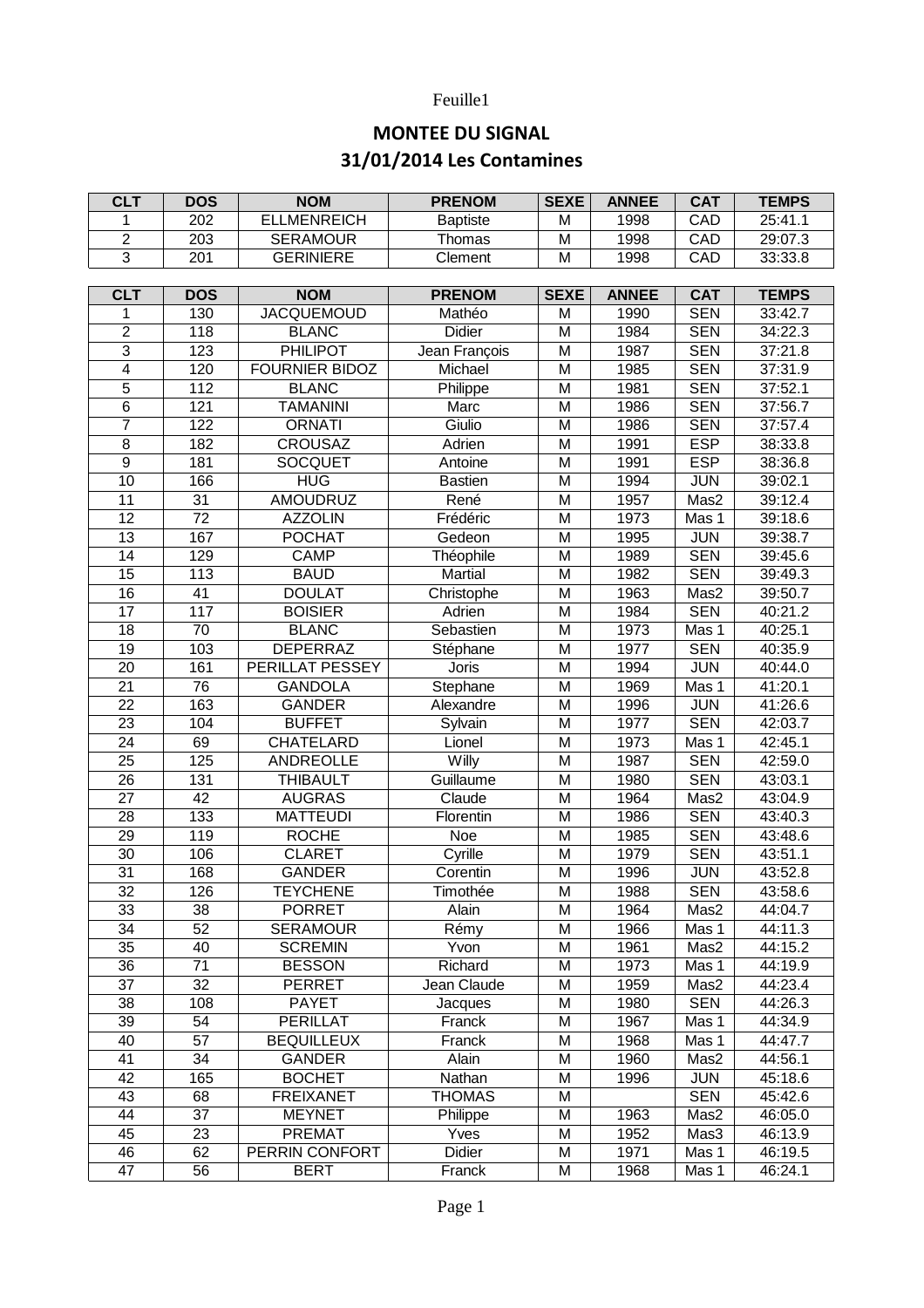## Feuille1

## **MONTEE DU SIGNAL 31/01/2014 Les Contamines**

| <b>CLT</b>      | <b>DOS</b>       | <b>NOM</b>            | <b>PRENOM</b>   | <b>SEXE</b> | <b>ANNEE</b> | <b>CAT</b> | <b>TEMPS</b> |
|-----------------|------------------|-----------------------|-----------------|-------------|--------------|------------|--------------|
| 1               | 202              | <b>ELLMENREICH</b>    | <b>Baptiste</b> | M           | 1998         | CAD        | 25:41.1      |
| $\overline{2}$  | $\overline{203}$ | <b>SERAMOUR</b>       | Thomas          | M           | 1998         | CAD        | 29:07.3      |
| $\overline{3}$  | 201              | <b>GERINIERE</b>      | Clement         | M           | 1998         | CAD        | 33:33.8      |
|                 |                  |                       |                 |             |              |            |              |
| <b>CLT</b>      | <b>DOS</b>       | <b>NOM</b>            | <b>PRENOM</b>   | <b>SEXE</b> | <b>ANNEE</b> | <b>CAT</b> | <b>TEMPS</b> |
| 1               | 130              | <b>JACQUEMOUD</b>     | Mathéo          | M           | 1990         | <b>SEN</b> | 33:42.7      |
| $\overline{2}$  | $\overline{118}$ | <b>BLANC</b>          | <b>Didier</b>   | M           | 1984         | <b>SEN</b> | 34:22.3      |
| $\overline{3}$  | 123              | <b>PHILIPOT</b>       | Jean François   | M           | 1987         | <b>SEN</b> | 37:21.8      |
| $\overline{4}$  | 120              | <b>FOURNIER BIDOZ</b> | Michael         | M           | 1985         | <b>SEN</b> | 37:31.9      |
| 5               | $\overline{112}$ | <b>BLANC</b>          | Philippe        | M           | 1981         | <b>SEN</b> | 37:52.1      |
| 6               | 121              | <b>TAMANINI</b>       | Marc            | M           | 1986         | <b>SEN</b> | 37:56.7      |
| 7               | $\overline{122}$ | <b>ORNATI</b>         | Giulio          | M           | 1986         | <b>SEN</b> | 37:57.4      |
| $\overline{8}$  | 182              | <b>CROUSAZ</b>        | Adrien          | M           | 1991         | <b>ESP</b> | 38:33.8      |
| $\overline{9}$  | 181              | <b>SOCQUET</b>        | Antoine         | M           | 1991         | <b>ESP</b> | 38:36.8      |
| 10              | 166              | <b>HUG</b>            | <b>Bastien</b>  | M           | 1994         | JUN        | 39:02.1      |
| $\overline{11}$ | 31               | <b>AMOUDRUZ</b>       | René            | M           | 1957         | Mas2       | 39:12.4      |
| 12              | $\overline{72}$  | <b>AZZOLIN</b>        | Frédéric        | M           | 1973         | Mas 1      | 39:18.6      |
| $\overline{13}$ | 167              | <b>POCHAT</b>         | Gedeon          | M           | 1995         | <b>JUN</b> | 39:38.7      |
| $\overline{14}$ | 129              | <b>CAMP</b>           | Théophile       | M           | 1989         | <b>SEN</b> | 39:45.6      |
| $\overline{15}$ | 113              | <b>BAUD</b>           | Martial         | M           | 1982         | <b>SEN</b> | 39:49.3      |
| 16              | 41               | <b>DOULAT</b>         | Christophe      | M           | 1963         | Mas2       | 39:50.7      |
| 17              | 117              |                       |                 |             |              |            |              |
|                 |                  | <b>BOISIER</b>        | Adrien          | M           | 1984         | <b>SEN</b> | 40:21.2      |
| 18              | 70               | <b>BLANC</b>          | Sebastien       | M           | 1973         | Mas 1      | 40:25.1      |
| 19              | 103              | <b>DEPERRAZ</b>       | Stéphane        | M           | 1977         | <b>SEN</b> | 40:35.9      |
| 20              | 161              | PERILLAT PESSEY       | Joris           | M           | 1994         | <b>JUN</b> | 40:44.0      |
| $\overline{21}$ | 76               | <b>GANDOLA</b>        | Stephane        | M           | 1969         | Mas 1      | 41:20.1      |
| 22              | 163              | <b>GANDER</b>         | Alexandre       | M           | 1996         | <b>JUN</b> | 41:26.6      |
| 23              | 104              | <b>BUFFET</b>         | Sylvain         | M           | 1977         | <b>SEN</b> | 42:03.7      |
| 24              | 69               | <b>CHATELARD</b>      | Lionel          | M           | 1973         | Mas 1      | 42:45.1      |
| 25              | 125              | ANDREOLLE             | Willy           | M           | 1987         | <b>SEN</b> | 42:59.0      |
| 26              | 131              | <b>THIBAULT</b>       | Guillaume       | M           | 1980         | <b>SEN</b> | 43:03.1      |
| 27              | $\overline{42}$  | <b>AUGRAS</b>         | Claude          | M           | 1964         | Mas2       | 43:04.9      |
| 28              | 133              | <b>MATTEUDI</b>       | Florentin       | M           | 1986         | <b>SEN</b> | 43:40.3      |
| 29              | 119              | <b>ROCHE</b>          | Noe             | M           | 1985         | <b>SEN</b> | 43:48.6      |
| 30              | 10 <sub>6</sub>  | <b>CLARET</b>         | Cyrille         | M           | 1979         | <b>SEN</b> | 43:51.1      |
| 31              | 168              | <b>GANDER</b>         | Corentin        | M           | 1996         | <b>JUN</b> | 43:52.8      |
| $\overline{32}$ | 126              | <b>TEYCHENE</b>       | Timothée        | M           | 1988         | <b>SEN</b> | 43:58.6      |
| 33              | 38               | <b>PORRET</b>         | Alain           | M           | 1964         | Mas2       | 44:04.7      |
| 34              | 52               | <b>SERAMOUR</b>       | Rémy            | M           | 1966         | Mas 1      | 44:11.3      |
| 35              | 40               | <b>SCREMIN</b>        | Yvon            | M           | 1961         | Mas2       | 44:15.2      |
| 36              | 71               | <b>BESSON</b>         | Richard         | M           | 1973         | Mas 1      | 44:19.9      |
| 37              | 32               | PERRET                | Jean Claude     | M           | 1959         | Mas2       | 44:23.4      |
| 38              | 108              | <b>PAYET</b>          | Jacques         | M           | 1980         | <b>SEN</b> | 44:26.3      |
| 39              | 54               | PERILLAT              | Franck          | M           | 1967         | Mas 1      | 44:34.9      |
| 40              | 57               | <b>BEQUILLEUX</b>     | Franck          | M           | 1968         | Mas 1      | 44:47.7      |
| 41              | 34               | <b>GANDER</b>         | Alain           | M           | 1960         | Mas2       | 44:56.1      |
| 42              | 165              | <b>BOCHET</b>         | Nathan          | M           | 1996         | <b>JUN</b> | 45:18.6      |
| 43              | 68               | <b>FREIXANET</b>      | <b>THOMAS</b>   | M           |              | <b>SEN</b> | 45:42.6      |
| 44              | 37               | <b>MEYNET</b>         | Philippe        | M           | 1963         | Mas2       | 46:05.0      |
| 45              | 23               | <b>PREMAT</b>         | Yves            | M           | 1952         | Mas3       | 46:13.9      |
| 46              | 62               | PERRIN CONFORT        | Didier          | M           | 1971         | Mas 1      | 46:19.5      |
| 47              | 56               | <b>BERT</b>           | Franck          | М           | 1968         | Mas 1      | 46:24.1      |